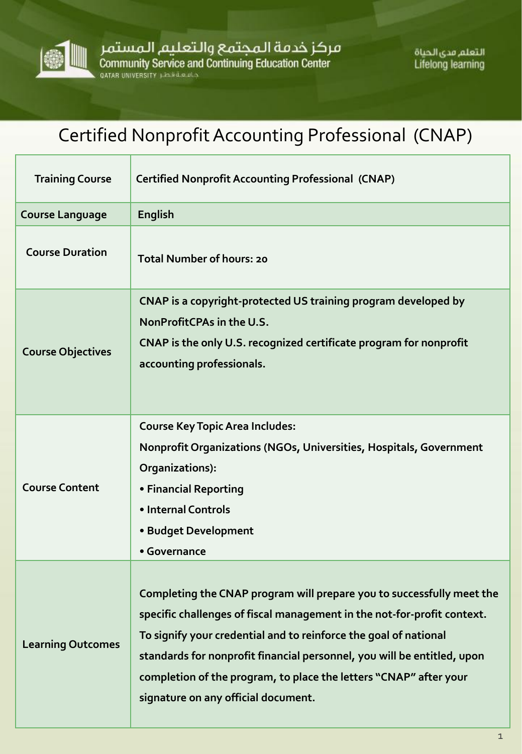

التعلم مدى الحياة **Lifelong learning** 

## Certified Nonprofit Accounting Professional (CNAP)

| <b>Training Course</b>   | <b>Certified Nonprofit Accounting Professional (CNAP)</b>                                                                                                                                                                                                                                                                                                                                                   |
|--------------------------|-------------------------------------------------------------------------------------------------------------------------------------------------------------------------------------------------------------------------------------------------------------------------------------------------------------------------------------------------------------------------------------------------------------|
| <b>Course Language</b>   | <b>English</b>                                                                                                                                                                                                                                                                                                                                                                                              |
| <b>Course Duration</b>   | <b>Total Number of hours: 20</b>                                                                                                                                                                                                                                                                                                                                                                            |
| <b>Course Objectives</b> | CNAP is a copyright-protected US training program developed by<br>NonProfitCPAs in the U.S.<br>CNAP is the only U.S. recognized certificate program for nonprofit<br>accounting professionals.                                                                                                                                                                                                              |
| <b>Course Content</b>    | <b>Course Key Topic Area Includes:</b><br>Nonprofit Organizations (NGOs, Universities, Hospitals, Government<br>Organizations):<br>• Financial Reporting<br>• Internal Controls<br>• Budget Development<br>• Governance                                                                                                                                                                                     |
| <b>Learning Outcomes</b> | Completing the CNAP program will prepare you to successfully meet the<br>specific challenges of fiscal management in the not-for-profit context.<br>To signify your credential and to reinforce the goal of national<br>standards for nonprofit financial personnel, you will be entitled, upon<br>completion of the program, to place the letters "CNAP" after your<br>signature on any official document. |